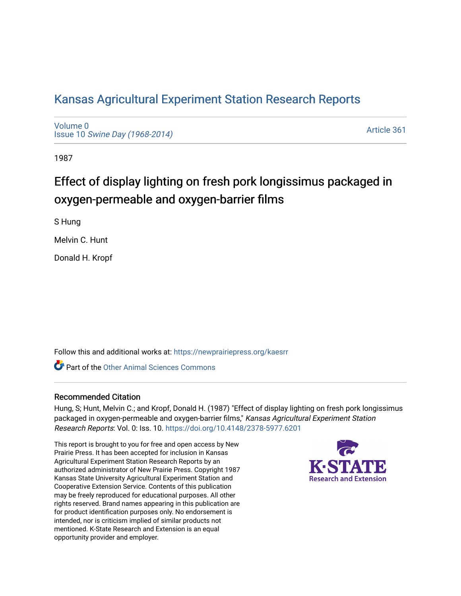# [Kansas Agricultural Experiment Station Research Reports](https://newprairiepress.org/kaesrr)

[Volume 0](https://newprairiepress.org/kaesrr/vol0) Issue 10 [Swine Day \(1968-2014\)](https://newprairiepress.org/kaesrr/vol0/iss10)

[Article 361](https://newprairiepress.org/kaesrr/vol0/iss10/361) 

1987

# Effect of display lighting on fresh pork longissimus packaged in oxygen-permeable and oxygen-barrier films

S Hung

Melvin C. Hunt

Donald H. Kropf

Follow this and additional works at: [https://newprairiepress.org/kaesrr](https://newprairiepress.org/kaesrr?utm_source=newprairiepress.org%2Fkaesrr%2Fvol0%2Fiss10%2F361&utm_medium=PDF&utm_campaign=PDFCoverPages) 

**C** Part of the [Other Animal Sciences Commons](http://network.bepress.com/hgg/discipline/82?utm_source=newprairiepress.org%2Fkaesrr%2Fvol0%2Fiss10%2F361&utm_medium=PDF&utm_campaign=PDFCoverPages)

## Recommended Citation

Hung, S; Hunt, Melvin C.; and Kropf, Donald H. (1987) "Effect of display lighting on fresh pork longissimus packaged in oxygen-permeable and oxygen-barrier films," Kansas Agricultural Experiment Station Research Reports: Vol. 0: Iss. 10. <https://doi.org/10.4148/2378-5977.6201>

This report is brought to you for free and open access by New Prairie Press. It has been accepted for inclusion in Kansas Agricultural Experiment Station Research Reports by an authorized administrator of New Prairie Press. Copyright 1987 Kansas State University Agricultural Experiment Station and Cooperative Extension Service. Contents of this publication may be freely reproduced for educational purposes. All other rights reserved. Brand names appearing in this publication are for product identification purposes only. No endorsement is intended, nor is criticism implied of similar products not mentioned. K-State Research and Extension is an equal opportunity provider and employer.

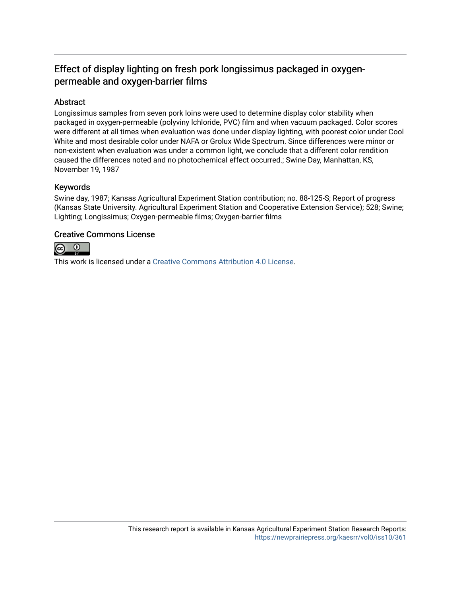## Effect of display lighting on fresh pork longissimus packaged in oxygenpermeable and oxygen-barrier films

## Abstract

Longissimus samples from seven pork loins were used to determine display color stability when packaged in oxygen-permeable (polyviny lchloride, PVC) film and when vacuum packaged. Color scores were different at all times when evaluation was done under display lighting, with poorest color under Cool White and most desirable color under NAFA or Grolux Wide Spectrum. Since differences were minor or non-existent when evaluation was under a common light, we conclude that a different color rendition caused the differences noted and no photochemical effect occurred.; Swine Day, Manhattan, KS, November 19, 1987

## Keywords

Swine day, 1987; Kansas Agricultural Experiment Station contribution; no. 88-125-S; Report of progress (Kansas State University. Agricultural Experiment Station and Cooperative Extension Service); 528; Swine; Lighting; Longissimus; Oxygen-permeable films; Oxygen-barrier films

## Creative Commons License



This work is licensed under a [Creative Commons Attribution 4.0 License](https://creativecommons.org/licenses/by/4.0/).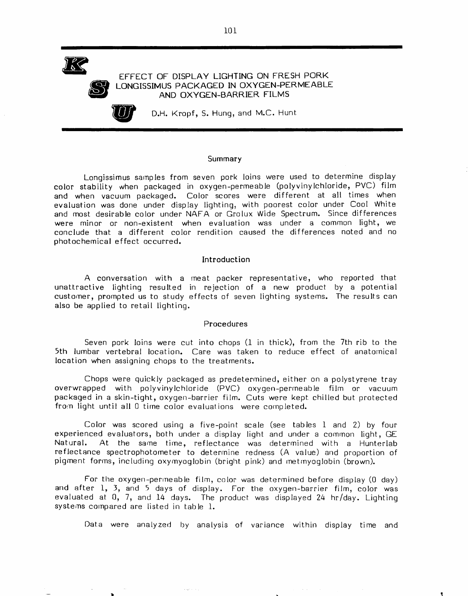

#### EFFECT OF DISPLAY LIGHTING ON FRESH PORK LONGISSIMUS PACKAGED IN OXYGEN-PERMEABLE AND OXYGEN-BARRIER FILMS

D.H. Kropf, S. Hung, and M.C. Hunt

#### Summary

Longissimus samples from seven pork loins were used to determine display color stability when packaged in oxygen-permeable (polyvinylchloride, PVC) film and when vacuum packaged. Color scores were different at all times when evaluation was done under display lighting, with poorest color under Cool White and most desirable color under NAFA or Grolux Wide Spectrum. Since differences were minor or non-existent when evaluation was under a common light, we conclude that a different color rendition caused the differences noted and no photochemical effect occurred.

### Introduction

A conversation with a meat packer representative, who reported that unattractive lighting resulted in rejection of a new product by a potential customer, prompted us to study effects of seven lighting systems. The results can also be applied to retail lighting.

#### Procedures

Seven pork loins were cut into chops (1 in thick), from the 7th rib to the 5th lumbar vertebral location. Care was taken to reduce effect of anatomical location when assigning chops to the treatments.

Chops were quickly packaged as predetermined, either on a polystyrene tray overwrapped with polyvinylchloride (PVC) oxygen-permeable film or vacuum packaged in a skin-tight, oxygen-barrier film. Cuts were kept chilled but protected from light until all 0 time color evaluations were completed.

Color was scored using a five-point scale (see tables 1 and 2) by four experienced evaluators, both under a display light and under a common light, GE Natural. At the same time, reflectance was determined with a Hunterlab reflectance spectrophotometer to determine redness (A value) and proportion of pigment forms, including oxymyoglobin (bright pink) and metmyoglobin (brown).

For the oxygen-permeable film, color was determined before display (0 day) and after 1, 3, and 5 days of display. For the oxygen-barrier film, color was evaluated at 0, 7, and 14 days. The product was displayed 24 hr/day. Lighting systems compared are listed in table 1.

 $\left\langle \phi_{\alpha} \phi_{\beta} \right\rangle$  ,  $\left\langle \phi_{\alpha} \right\rangle$ 

Data were analyzed by analysis of variance within display time and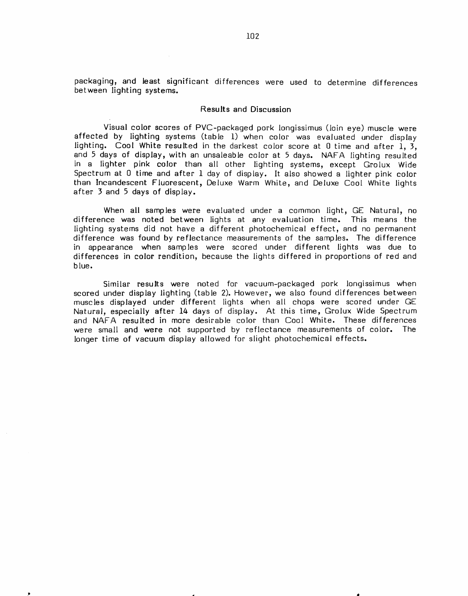packaging, and least significant differences were used to determine differences between lighting systems.

#### Results and Discussion

Visual color scores of PVC-packaged pork longissimus (loin eye) muscle were affected by lighting systems (table 1) when color was evaluated under display lighting. Cool White resulted in the darkest color score at 0 time and after 1, 3, and 5 days of display, with an unsaleable color at 5 days. NAFA lighting resulted in a lighter pink color than all other lighting systems, except Grolux Wide Spectrum at 0 time and after 1 day of display. It also showed a lighter pink color than Incandescent Fluorescent, Deluxe Warm White, and Deluxe Cool White lights after 3 and 5 days of display.

When all samples were evaluated under a common light, GE Natural, no difference was noted between lights at any evaluation time. This means the lighting systems did not have a different photochemical effect, and no permanent difference was found by reflectance measurements of the samples. The difference in appearance when samples were scored under different lights was due to differences in color rendition, because the lights differed in proportions of red and blue.

Similar results were noted for vacuum-packaged pork longissimus when scored under display lighting (table 2). However, we also found differences between muscles displayed under different lights when all chops were scored under GE Natural, especially after 14 days of display. At this time, Grolux Wide Spectrum and NAFA resulted in more desirable color than Cool White. These differences were small and were not supported by reflectance measurements of color. The longer time of vacuum display allowed for slight photochemical effects.